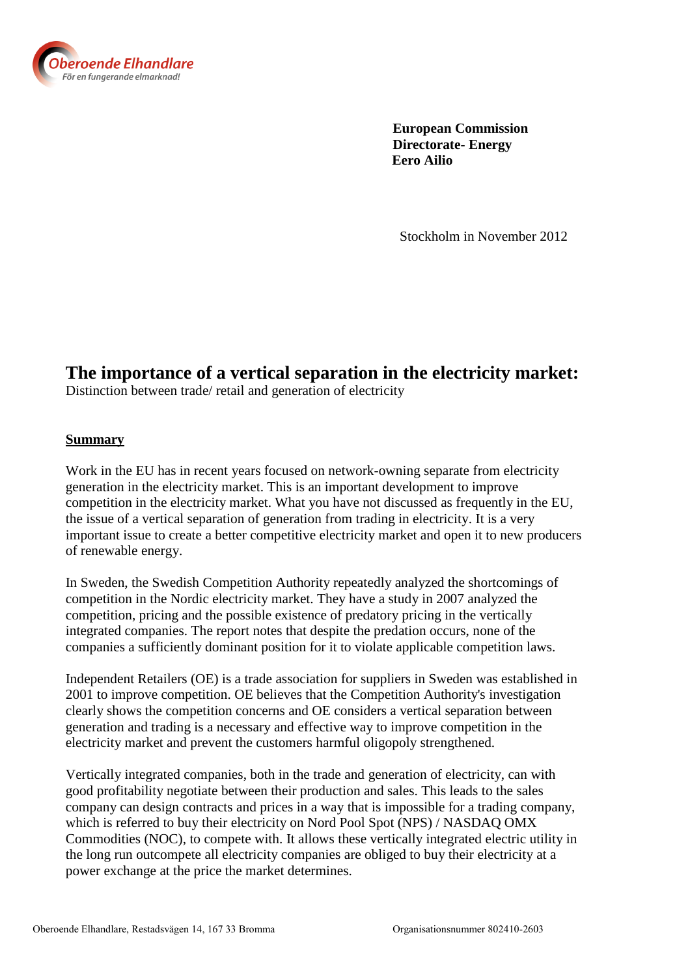

 **European Commission Directorate- Energy Eero Ailio**

Stockholm in November 2012

# **The importance of a vertical separation in the electricity market:**

Distinction between trade/ retail and generation of electricity

#### **Summary**

Work in the EU has in recent years focused on network-owning separate from electricity generation in the electricity market. This is an important development to improve competition in the electricity market. What you have not discussed as frequently in the EU, the issue of a vertical separation of generation from trading in electricity. It is a very important issue to create a better competitive electricity market and open it to new producers of renewable energy.

In Sweden, the Swedish Competition Authority repeatedly analyzed the shortcomings of competition in the Nordic electricity market. They have a study in 2007 analyzed the competition, pricing and the possible existence of predatory pricing in the vertically integrated companies. The report notes that despite the predation occurs, none of the companies a sufficiently dominant position for it to violate applicable competition laws.

Independent Retailers (OE) is a trade association for suppliers in Sweden was established in 2001 to improve competition. OE believes that the Competition Authority's investigation clearly shows the competition concerns and OE considers a vertical separation between generation and trading is a necessary and effective way to improve competition in the electricity market and prevent the customers harmful oligopoly strengthened.

Vertically integrated companies, both in the trade and generation of electricity, can with good profitability negotiate between their production and sales. This leads to the sales company can design contracts and prices in a way that is impossible for a trading company, which is referred to buy their electricity on Nord Pool Spot (NPS) / NASDAQ OMX Commodities (NOC), to compete with. It allows these vertically integrated electric utility in the long run outcompete all electricity companies are obliged to buy their electricity at a power exchange at the price the market determines.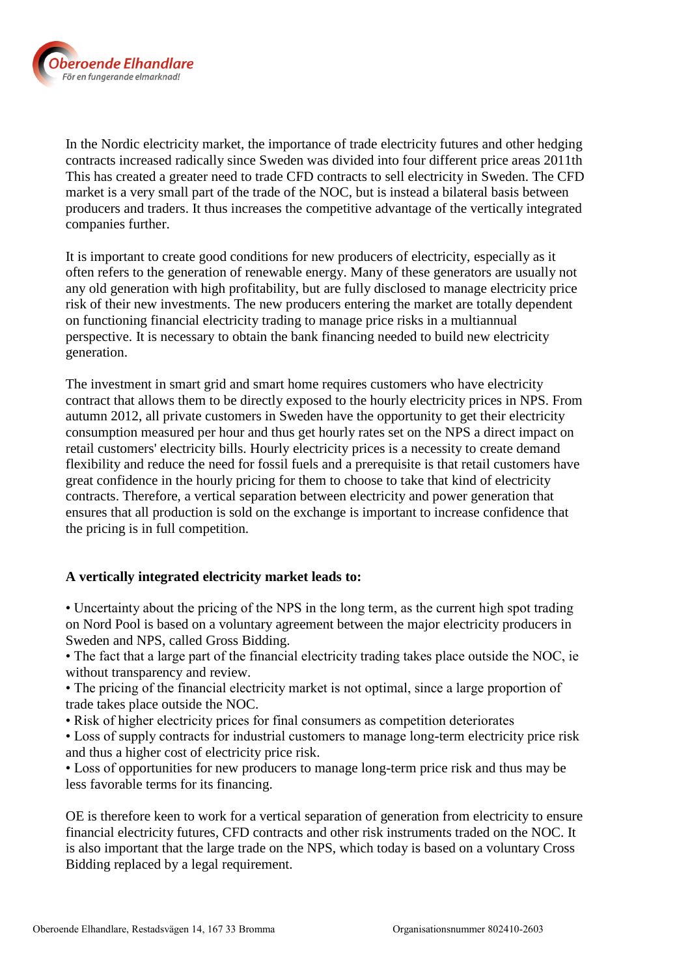

In the Nordic electricity market, the importance of trade electricity futures and other hedging contracts increased radically since Sweden was divided into four different price areas 2011th This has created a greater need to trade CFD contracts to sell electricity in Sweden. The CFD market is a very small part of the trade of the NOC, but is instead a bilateral basis between producers and traders. It thus increases the competitive advantage of the vertically integrated companies further.

It is important to create good conditions for new producers of electricity, especially as it often refers to the generation of renewable energy. Many of these generators are usually not any old generation with high profitability, but are fully disclosed to manage electricity price risk of their new investments. The new producers entering the market are totally dependent on functioning financial electricity trading to manage price risks in a multiannual perspective. It is necessary to obtain the bank financing needed to build new electricity generation.

The investment in smart grid and smart home requires customers who have electricity contract that allows them to be directly exposed to the hourly electricity prices in NPS. From autumn 2012, all private customers in Sweden have the opportunity to get their electricity consumption measured per hour and thus get hourly rates set on the NPS a direct impact on retail customers' electricity bills. Hourly electricity prices is a necessity to create demand flexibility and reduce the need for fossil fuels and a prerequisite is that retail customers have great confidence in the hourly pricing for them to choose to take that kind of electricity contracts. Therefore, a vertical separation between electricity and power generation that ensures that all production is sold on the exchange is important to increase confidence that the pricing is in full competition.

## **A vertically integrated electricity market leads to:**

• Uncertainty about the pricing of the NPS in the long term, as the current high spot trading on Nord Pool is based on a voluntary agreement between the major electricity producers in Sweden and NPS, called Gross Bidding.

• The fact that a large part of the financial electricity trading takes place outside the NOC, ie without transparency and review.

• The pricing of the financial electricity market is not optimal, since a large proportion of trade takes place outside the NOC.

• Risk of higher electricity prices for final consumers as competition deteriorates

• Loss of supply contracts for industrial customers to manage long-term electricity price risk and thus a higher cost of electricity price risk.

• Loss of opportunities for new producers to manage long-term price risk and thus may be less favorable terms for its financing.

OE is therefore keen to work for a vertical separation of generation from electricity to ensure financial electricity futures, CFD contracts and other risk instruments traded on the NOC. It is also important that the large trade on the NPS, which today is based on a voluntary Cross Bidding replaced by a legal requirement.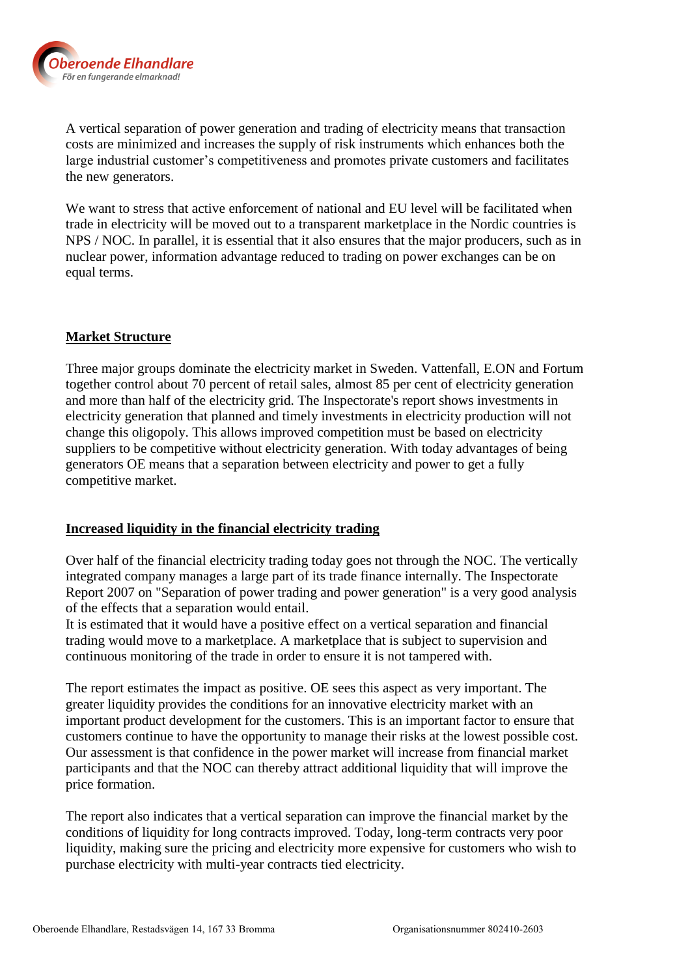

A vertical separation of power generation and trading of electricity means that transaction costs are minimized and increases the supply of risk instruments which enhances both the large industrial customer's competitiveness and promotes private customers and facilitates the new generators.

We want to stress that active enforcement of national and EU level will be facilitated when trade in electricity will be moved out to a transparent marketplace in the Nordic countries is NPS / NOC. In parallel, it is essential that it also ensures that the major producers, such as in nuclear power, information advantage reduced to trading on power exchanges can be on equal terms.

#### **Market Structure**

Three major groups dominate the electricity market in Sweden. Vattenfall, E.ON and Fortum together control about 70 percent of retail sales, almost 85 per cent of electricity generation and more than half of the electricity grid. The Inspectorate's report shows investments in electricity generation that planned and timely investments in electricity production will not change this oligopoly. This allows improved competition must be based on electricity suppliers to be competitive without electricity generation. With today advantages of being generators OE means that a separation between electricity and power to get a fully competitive market.

#### **Increased liquidity in the financial electricity trading**

Over half of the financial electricity trading today goes not through the NOC. The vertically integrated company manages a large part of its trade finance internally. The Inspectorate Report 2007 on "Separation of power trading and power generation" is a very good analysis of the effects that a separation would entail.

It is estimated that it would have a positive effect on a vertical separation and financial trading would move to a marketplace. A marketplace that is subject to supervision and continuous monitoring of the trade in order to ensure it is not tampered with.

The report estimates the impact as positive. OE sees this aspect as very important. The greater liquidity provides the conditions for an innovative electricity market with an important product development for the customers. This is an important factor to ensure that customers continue to have the opportunity to manage their risks at the lowest possible cost. Our assessment is that confidence in the power market will increase from financial market participants and that the NOC can thereby attract additional liquidity that will improve the price formation.

The report also indicates that a vertical separation can improve the financial market by the conditions of liquidity for long contracts improved. Today, long-term contracts very poor liquidity, making sure the pricing and electricity more expensive for customers who wish to purchase electricity with multi-year contracts tied electricity.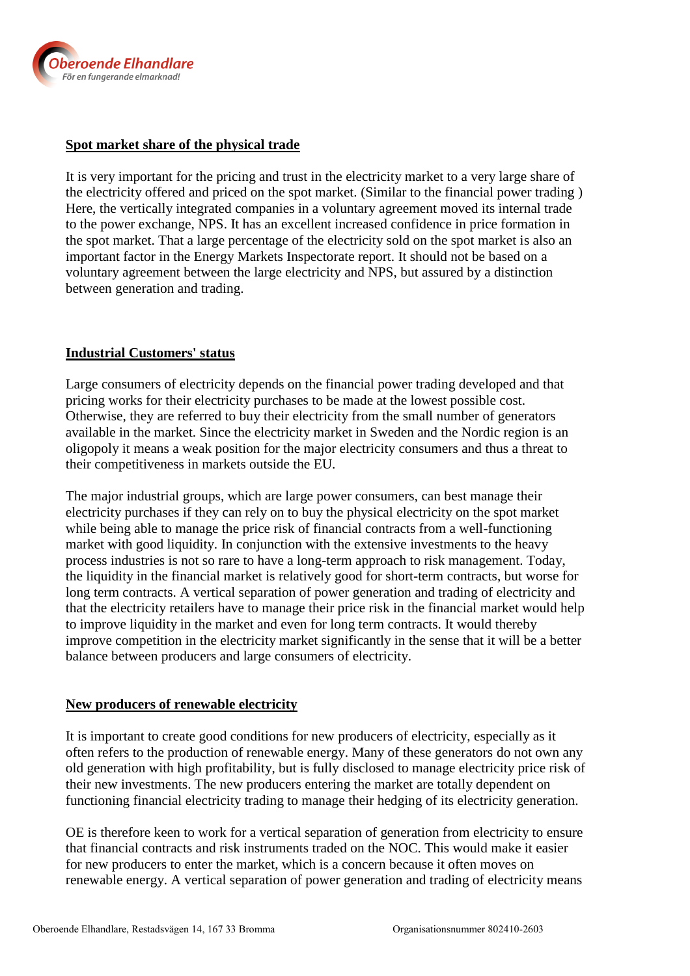

# **Spot market share of the physical trade**

It is very important for the pricing and trust in the electricity market to a very large share of the electricity offered and priced on the spot market. (Similar to the financial power trading ) Here, the vertically integrated companies in a voluntary agreement moved its internal trade to the power exchange, NPS. It has an excellent increased confidence in price formation in the spot market. That a large percentage of the electricity sold on the spot market is also an important factor in the Energy Markets Inspectorate report. It should not be based on a voluntary agreement between the large electricity and NPS, but assured by a distinction between generation and trading.

## **Industrial Customers' status**

Large consumers of electricity depends on the financial power trading developed and that pricing works for their electricity purchases to be made at the lowest possible cost. Otherwise, they are referred to buy their electricity from the small number of generators available in the market. Since the electricity market in Sweden and the Nordic region is an oligopoly it means a weak position for the major electricity consumers and thus a threat to their competitiveness in markets outside the EU.

The major industrial groups, which are large power consumers, can best manage their electricity purchases if they can rely on to buy the physical electricity on the spot market while being able to manage the price risk of financial contracts from a well-functioning market with good liquidity. In conjunction with the extensive investments to the heavy process industries is not so rare to have a long-term approach to risk management. Today, the liquidity in the financial market is relatively good for short-term contracts, but worse for long term contracts. A vertical separation of power generation and trading of electricity and that the electricity retailers have to manage their price risk in the financial market would help to improve liquidity in the market and even for long term contracts. It would thereby improve competition in the electricity market significantly in the sense that it will be a better balance between producers and large consumers of electricity.

## **New producers of renewable electricity**

It is important to create good conditions for new producers of electricity, especially as it often refers to the production of renewable energy. Many of these generators do not own any old generation with high profitability, but is fully disclosed to manage electricity price risk of their new investments. The new producers entering the market are totally dependent on functioning financial electricity trading to manage their hedging of its electricity generation.

OE is therefore keen to work for a vertical separation of generation from electricity to ensure that financial contracts and risk instruments traded on the NOC. This would make it easier for new producers to enter the market, which is a concern because it often moves on renewable energy. A vertical separation of power generation and trading of electricity means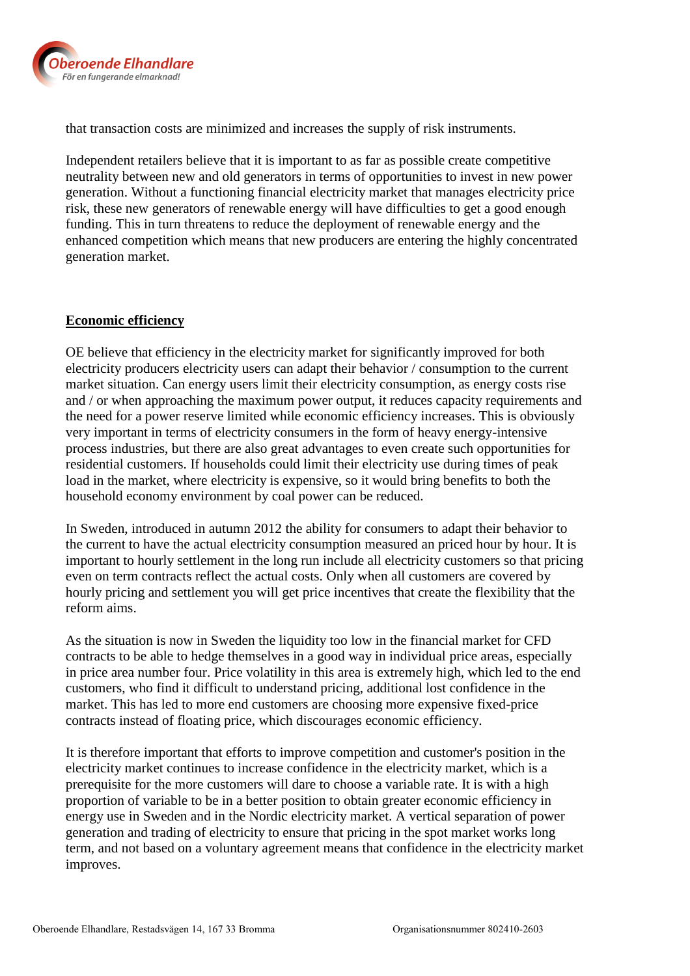

that transaction costs are minimized and increases the supply of risk instruments.

Independent retailers believe that it is important to as far as possible create competitive neutrality between new and old generators in terms of opportunities to invest in new power generation. Without a functioning financial electricity market that manages electricity price risk, these new generators of renewable energy will have difficulties to get a good enough funding. This in turn threatens to reduce the deployment of renewable energy and the enhanced competition which means that new producers are entering the highly concentrated generation market.

#### **Economic efficiency**

OE believe that efficiency in the electricity market for significantly improved for both electricity producers electricity users can adapt their behavior / consumption to the current market situation. Can energy users limit their electricity consumption, as energy costs rise and / or when approaching the maximum power output, it reduces capacity requirements and the need for a power reserve limited while economic efficiency increases. This is obviously very important in terms of electricity consumers in the form of heavy energy-intensive process industries, but there are also great advantages to even create such opportunities for residential customers. If households could limit their electricity use during times of peak load in the market, where electricity is expensive, so it would bring benefits to both the household economy environment by coal power can be reduced.

In Sweden, introduced in autumn 2012 the ability for consumers to adapt their behavior to the current to have the actual electricity consumption measured an priced hour by hour. It is important to hourly settlement in the long run include all electricity customers so that pricing even on term contracts reflect the actual costs. Only when all customers are covered by hourly pricing and settlement you will get price incentives that create the flexibility that the reform aims.

As the situation is now in Sweden the liquidity too low in the financial market for CFD contracts to be able to hedge themselves in a good way in individual price areas, especially in price area number four. Price volatility in this area is extremely high, which led to the end customers, who find it difficult to understand pricing, additional lost confidence in the market. This has led to more end customers are choosing more expensive fixed-price contracts instead of floating price, which discourages economic efficiency.

It is therefore important that efforts to improve competition and customer's position in the electricity market continues to increase confidence in the electricity market, which is a prerequisite for the more customers will dare to choose a variable rate. It is with a high proportion of variable to be in a better position to obtain greater economic efficiency in energy use in Sweden and in the Nordic electricity market. A vertical separation of power generation and trading of electricity to ensure that pricing in the spot market works long term, and not based on a voluntary agreement means that confidence in the electricity market improves.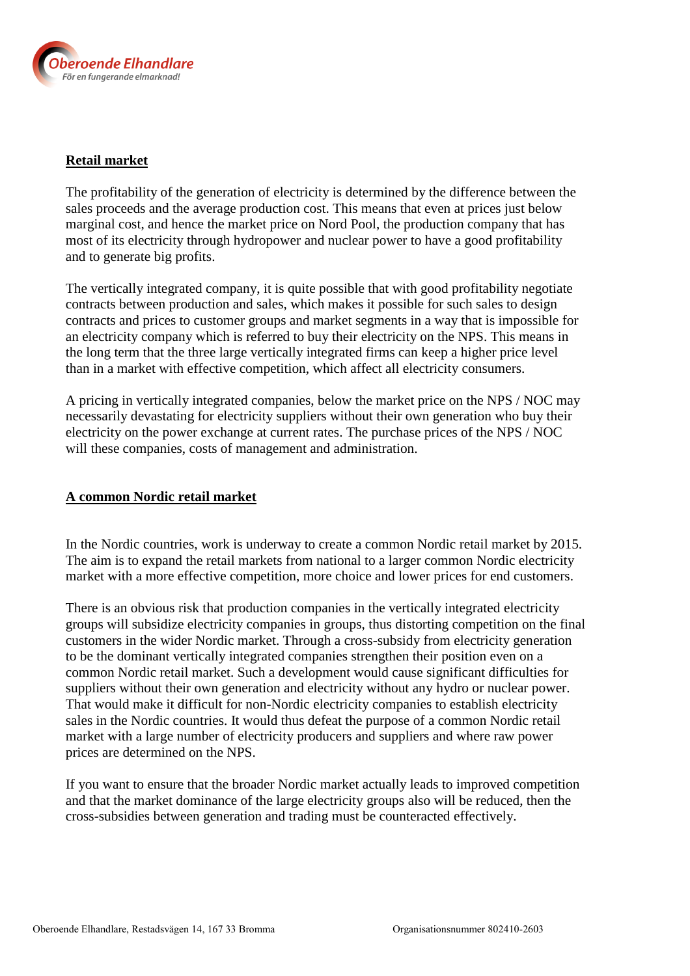

#### **Retail market**

The profitability of the generation of electricity is determined by the difference between the sales proceeds and the average production cost. This means that even at prices just below marginal cost, and hence the market price on Nord Pool, the production company that has most of its electricity through hydropower and nuclear power to have a good profitability and to generate big profits.

The vertically integrated company, it is quite possible that with good profitability negotiate contracts between production and sales, which makes it possible for such sales to design contracts and prices to customer groups and market segments in a way that is impossible for an electricity company which is referred to buy their electricity on the NPS. This means in the long term that the three large vertically integrated firms can keep a higher price level than in a market with effective competition, which affect all electricity consumers.

A pricing in vertically integrated companies, below the market price on the NPS / NOC may necessarily devastating for electricity suppliers without their own generation who buy their electricity on the power exchange at current rates. The purchase prices of the NPS / NOC will these companies, costs of management and administration.

## **A common Nordic retail market**

In the Nordic countries, work is underway to create a common Nordic retail market by 2015. The aim is to expand the retail markets from national to a larger common Nordic electricity market with a more effective competition, more choice and lower prices for end customers.

There is an obvious risk that production companies in the vertically integrated electricity groups will subsidize electricity companies in groups, thus distorting competition on the final customers in the wider Nordic market. Through a cross-subsidy from electricity generation to be the dominant vertically integrated companies strengthen their position even on a common Nordic retail market. Such a development would cause significant difficulties for suppliers without their own generation and electricity without any hydro or nuclear power. That would make it difficult for non-Nordic electricity companies to establish electricity sales in the Nordic countries. It would thus defeat the purpose of a common Nordic retail market with a large number of electricity producers and suppliers and where raw power prices are determined on the NPS.

If you want to ensure that the broader Nordic market actually leads to improved competition and that the market dominance of the large electricity groups also will be reduced, then the cross-subsidies between generation and trading must be counteracted effectively.